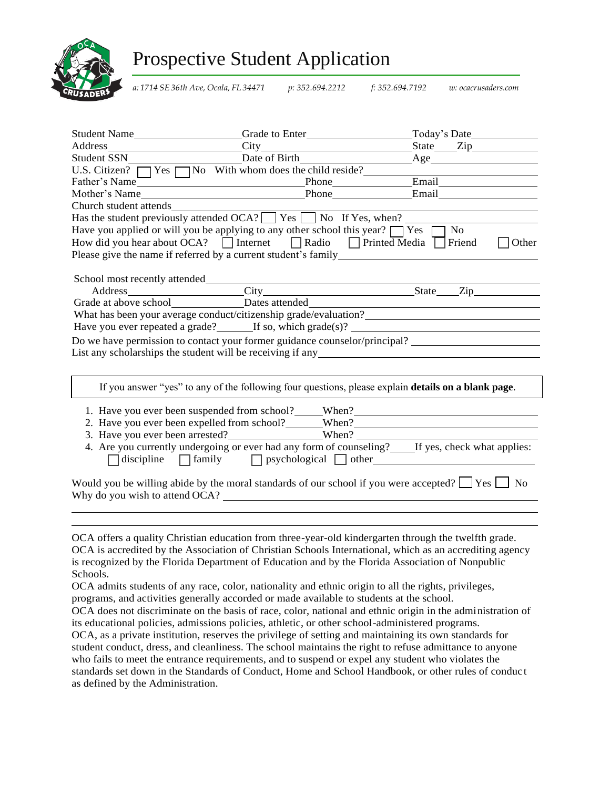

## Prospective Student Application

*a: 1714 SE 36th Ave, Ocala, FL 34471 p: 352.694.2212 f: 352.694.7192 w: ocacrusaders.com*

|                        |                                                                                                                                                               | Student Name Sunder Contact Care Crack of Enter Student Name Sunder Contact Of The Crack of Enter Student Name Sunder Contact Of The Crack of Enter Student Name Sunder Contact Of The Crack of Enter Student Name Sunder Cont |
|------------------------|---------------------------------------------------------------------------------------------------------------------------------------------------------------|--------------------------------------------------------------------------------------------------------------------------------------------------------------------------------------------------------------------------------|
|                        |                                                                                                                                                               |                                                                                                                                                                                                                                |
|                        |                                                                                                                                                               | Student SSN<br>U.S. Citizen? Thes Tho With whom does the child reside?<br>Father's Name<br>Mother's Name<br>Mother's Name<br>Phone<br>Phone<br>Email<br>Email                                                                  |
|                        |                                                                                                                                                               |                                                                                                                                                                                                                                |
|                        |                                                                                                                                                               |                                                                                                                                                                                                                                |
|                        |                                                                                                                                                               |                                                                                                                                                                                                                                |
| Church student attends |                                                                                                                                                               |                                                                                                                                                                                                                                |
|                        | Has the student previously attended OCA? $\Box$ Yes $\Box$ No If Yes, when?                                                                                   |                                                                                                                                                                                                                                |
|                        | Have you applied or will you be applying to any other school this year? $\Box$ Yes [                                                                          | No                                                                                                                                                                                                                             |
|                        | How did you hear about OCA? $\Box$ Internet $\Box$ Radio $\Box$ Printed Media $\Box$ Friend<br>Please give the name if referred by a current student's family | Other                                                                                                                                                                                                                          |
|                        |                                                                                                                                                               |                                                                                                                                                                                                                                |
|                        |                                                                                                                                                               |                                                                                                                                                                                                                                |
|                        |                                                                                                                                                               | Address<br>City<br>City<br>City<br>Dates attended<br>State<br>Zip                                                                                                                                                              |
|                        |                                                                                                                                                               |                                                                                                                                                                                                                                |
|                        |                                                                                                                                                               | Have you ever repeated a grade? $\qquad \qquad$ If so, which grade(s)?                                                                                                                                                         |
|                        |                                                                                                                                                               | Do we have permission to contact your former guidance counselor/principal?                                                                                                                                                     |
|                        |                                                                                                                                                               | List any scholarships the student will be receiving if any                                                                                                                                                                     |
|                        |                                                                                                                                                               |                                                                                                                                                                                                                                |
|                        |                                                                                                                                                               | If you answer "yes" to any of the following four questions, please explain <b>details on a blank page</b> .                                                                                                                    |
|                        | 1. Have you ever been suspended from school? When?                                                                                                            |                                                                                                                                                                                                                                |
|                        |                                                                                                                                                               | 2. Have you ever been expelled from school? When? When ?                                                                                                                                                                       |
|                        |                                                                                                                                                               |                                                                                                                                                                                                                                |
|                        |                                                                                                                                                               | 4. Are you currently undergoing or ever had any form of counseling? Let yes, check what applies:<br>discipline family psychological other                                                                                      |
|                        | Why do you wish to attend OCA?                                                                                                                                | Would you be willing abide by the moral standards of our school if you were accepted? $\Box$ Yes $\Box$ No                                                                                                                     |
|                        |                                                                                                                                                               |                                                                                                                                                                                                                                |
|                        |                                                                                                                                                               |                                                                                                                                                                                                                                |
|                        |                                                                                                                                                               | OCA offers a quality Christian education from three-year-old kindergarten through the twelfth grade.<br>$OC\Delta$ is accredited by the $\Delta$ ssociation of Christian Schools International which as an accrediting agency  |

OCA is accredited by the Association of Christian Schools International, which as an accrediting agency is recognized by the Florida Department of Education and by the Florida Association of Nonpublic Schools.

OCA admits students of any race, color, nationality and ethnic origin to all the rights, privileges, programs, and activities generally accorded or made available to students at the school.

OCA does not discriminate on the basis of race, color, national and ethnic origin in the administration of its educational policies, admissions policies, athletic, or other school-administered programs. OCA, as a private institution, reserves the privilege of setting and maintaining its own standards for student conduct, dress, and cleanliness. The school maintains the right to refuse admittance to anyone who fails to meet the entrance requirements, and to suspend or expel any student who violates the standards set down in the Standards of Conduct, Home and School Handbook, or other rules of conduc t

as defined by the Administration.